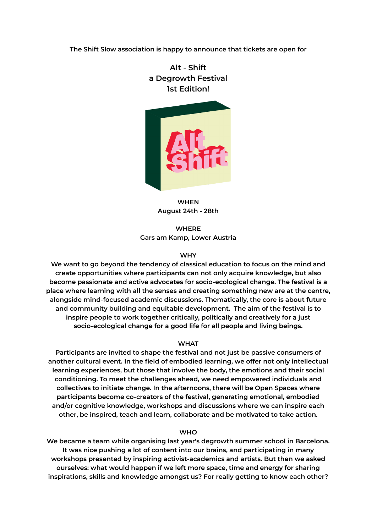**The Shift Slow association is happy to announce that tickets are open for**

**Alt - Shift a Degrowth Festival 1st Edition!**



**WHEN August 24th - 28th**

**WHERE Gars am Kamp, Lower Austria**

## **WHY**

**We want to go beyond the tendency of classical education to focus on the mind and create opportunities where participants can not only acquire knowledge, but also become passionate and active advocates for socio-ecological change. The festival is a place where learning with all the senses and creating something new are at the centre, alongside mind-focused academic discussions. Thematically, the core is about future and community building and equitable development. The aim of the festival is to inspire people to work together critically, politically and creatively for a just socio-ecological change for a good life for all people and living beings.**

## **WHAT**

**Participants are invited to shape the festival and not just be passive consumers of another cultural event. In the field of embodied learning, we offer not only intellectual learning experiences, but those that involve the body, the emotions and their social conditioning. To meet the challenges ahead, we need empowered individuals and collectives to initiate change. In the afternoons, there will be Open Spaces where participants become co-creators of the festival, generating emotional, embodied and/or cognitive knowledge, workshops and discussions where we can inspire each other, be inspired, teach and learn, collaborate and be motivated to take action.**

## **WHO**

**We became a team while organising last year's degrowth summer school in Barcelona. It was nice pushing a lot of content into our brains, and participating in many workshops presented by inspiring activist-academics and artists. But then we asked ourselves: what would happen if we left more space, time and energy for sharing inspirations, skills and knowledge amongst us? For really getting to know each other?**